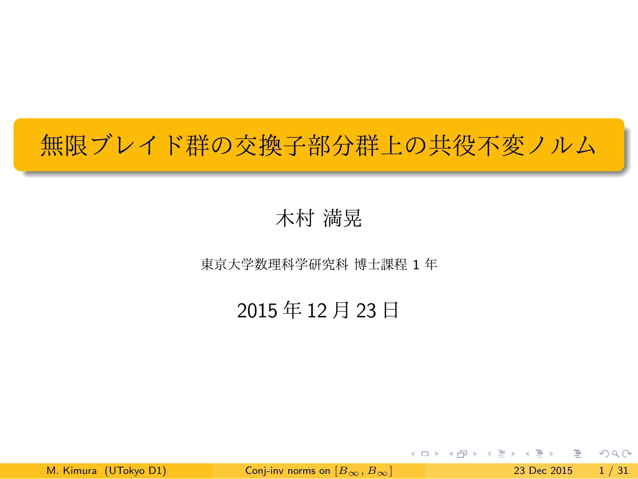無限ブレイド群の交換子部分群上の共役不変ノルム

.

.. . 木村 満晃

東京大学数理科学研究科 博士課程 1 年

2015 年 12 月 23 日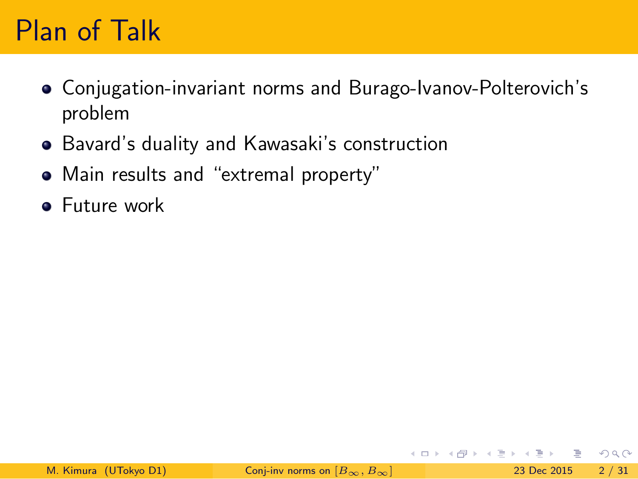### Plan of Talk

- Conjugation-invariant norms and Burago-Ivanov-Polterovich's problem
- Bavard's duality and Kawasaki's construction
- Main results and "extremal property"
- **•** Future work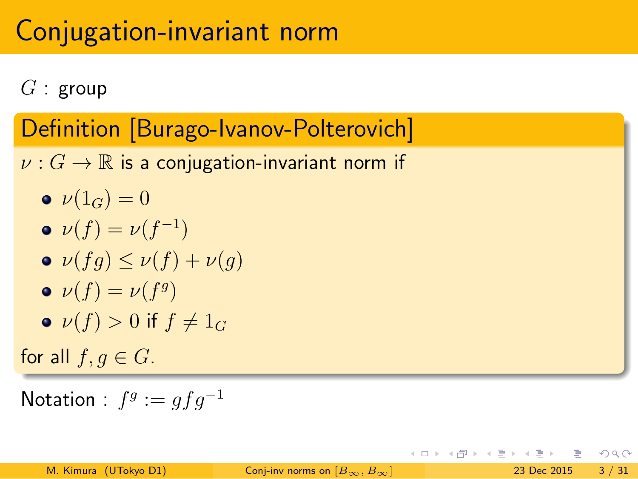### Conjugation-invariant norm

*G* : group

Definition [Burago-Ivanov-Polterovich] . *ν* : *G* → ℝ is a conjugation-invariant norm if  $\nu(1_G) = 0$  $\nu(f) = \nu(f^{-1})$  $\mathbf{v}(fg) \leq \nu(f) + \nu(g)$  $\nu(f) = \nu(f^g)$ •  $\nu(f) > 0$  if  $f \neq 1_G$ for all  $f, g \in G$ .

 $\mathsf{Notation}: f^g := gfg^{-1}$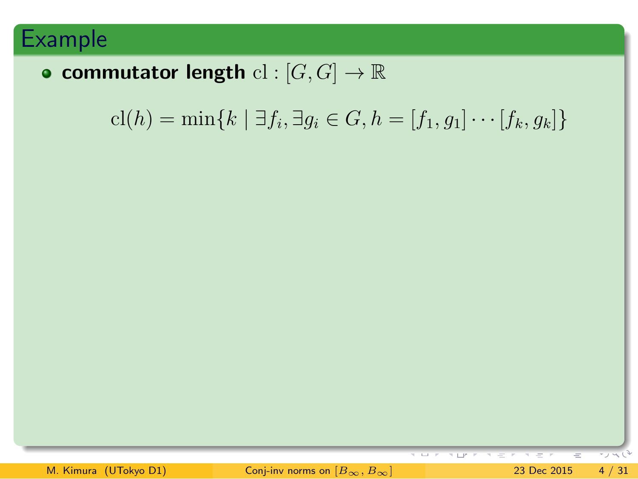### Example

| • commutator length $\text{cl}: [G,G] \to \mathbb{R}$                                             |
|---------------------------------------------------------------------------------------------------|
| $\text{cl}(h) = \min\{k \mid \exists f_i, \exists g_i \in G, h = [f_1, g_1] \cdots [f_k, g_k]\}\$ |
|                                                                                                   |
|                                                                                                   |
|                                                                                                   |
|                                                                                                   |
|                                                                                                   |
|                                                                                                   |
| ÷<br>$\mathcal{R} = \{ \pm 1 \}$<br>キロビアーキ モード<br>$=$ $-$<br>エノベリ                                 |
| Conj-inv norms on $[B_{\infty}, B_{\infty}]$<br>M. Kimura (UTokyo D1)<br>23 Dec 2015<br>4/31      |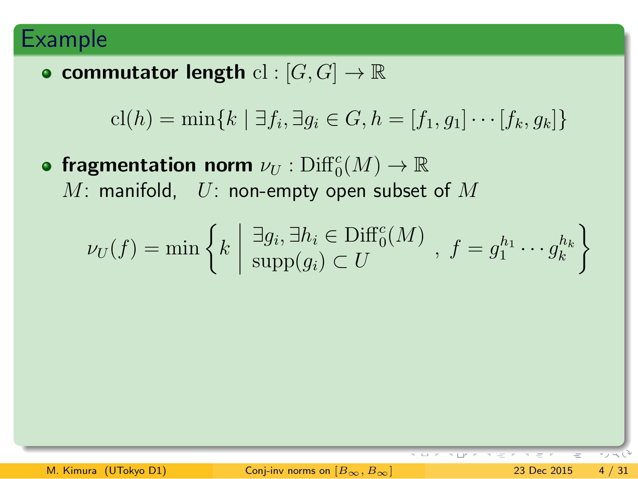### Example

| • commutator length $\mathrm{cl}: [G,G] \to \mathbb{R}$                                                                                                      |
|--------------------------------------------------------------------------------------------------------------------------------------------------------------|
| $cl(h) = \min\{k \mid \exists f_i, \exists g_i \in G, h = [f_1, g_1] \cdots [f_k, g_k]\}\$                                                                   |
| • fragmentation norm $\nu_U : \mathrm{Diff}_0^c(M) \to \mathbb{R}$<br>M: manifold, $U:$ non-empty open subset of M                                           |
| $\nu_U(f) = \min \left\{ k \mid \frac{\exists g_i, \exists h_i \in \text{Diff}_0^c(M)}{\text{supp}(g_i) \subset U}, f = g_1^{h_1} \cdots g_k^{h_k} \right\}$ |
|                                                                                                                                                              |
|                                                                                                                                                              |
|                                                                                                                                                              |

M. Kimura (UTokyo D1) Conj-inv norms on  $[B_{\infty}, B_{\infty}]$  23 Dec 2015 4 / 31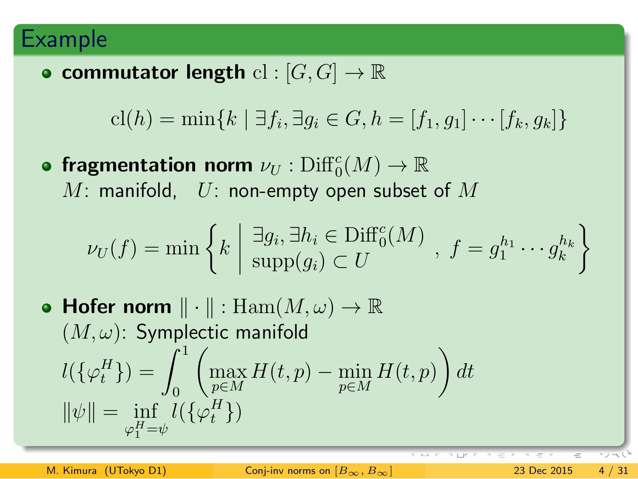#### Example

**• commutator length**  $\text{cl} : [G, G] \rightarrow \mathbb{R}$ 

$$
cl(h) = \min\{k \mid \exists f_i, \exists g_i \in G, h = [f_1, g_1] \cdots [f_k, g_k]\}
$$

fragmentation norm  $\nu_U : \mathrm{Diff}_0^c(M) \to \mathbb{R}$ *M*: manifold, *U*: non-empty open subset of *M*

$$
\nu_U(f) = \min\left\{k \mid \frac{\exists g_i, \exists h_i \in \text{Diff}_0^c(M)}{\text{supp}(g_i) \subset U}, f = g_1^{h_1} \cdots g_k^{h_k}\right\}
$$

**Hofer norm** *∥ · ∥* : Ham(*M, ω*) *→* R (*M, ω*): Symplectic manifold  $l(\{\varphi_t^H\}) = \int_0^1$  $\sqrt{ }$ max *p∈M H*(*t*, *p*) − min *p∈M H*(*t, p*)  $\setminus$ *dt*  $\|\psi\| = \inf_{\varphi_1^H = \psi}$  $l(\{\varphi_t^H\})$ 

M. Kimura (UTokyo D1) Conj-inv norms on  $[B_{\infty}, B_{\infty}]$  23 Dec 2015 4 / 31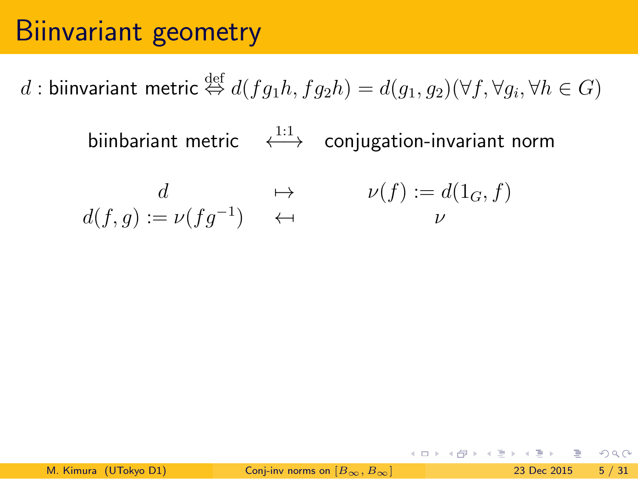# Biinvariant geometry

 $d$  : biinvariant metric  $\stackrel{\text{def}}{\Leftrightarrow} d(fg_1h,fg_2h)=d(g_1,g_2)(\forall f,\forall g_i,\forall h\in G)$ 

biinbariant metric ← <sup>1:1</sup>→ conjugation-invariant norm

$$
\begin{array}{ccc} d & \mapsto & \nu(f) := d(1_G, f) \\ d(f, g) := \nu(fg^{-1}) & \leftrightarrow & \nu \\ \end{array}
$$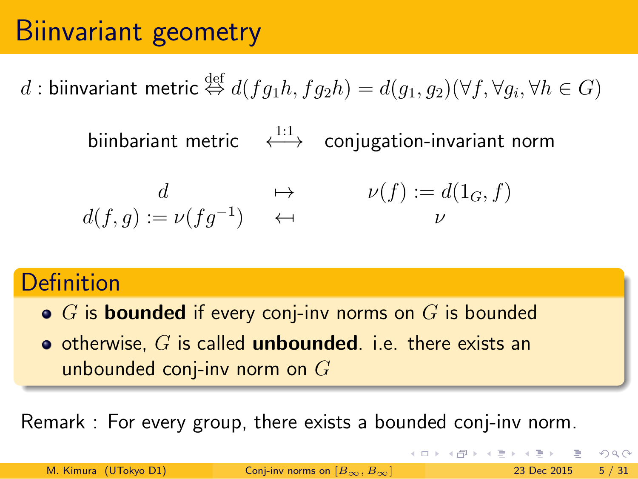### Biinvariant geometry

 $d$  : biinvariant metric  $\stackrel{\text{def}}{\Leftrightarrow} d(fg_1h,fg_2h)=d(g_1,g_2)(\forall f,\forall g_i,\forall h\in G)$ 

biinbariant metric ← <sup>1:1</sup>→ conjugation-invariant norm

$$
d \rightarrow \nu(f; g) := \nu(fg^{-1}) \leftrightarrow \nu(f) := d(1_G, f)
$$

#### **Definition**

- *G* is **bounded** if every conj-inv norms on *G* is bounded
- otherwise, *G* is called **unbounded**. i.e. there exists an unbounded conj-inv norm on *G*

Remark : For every group, there exists a bounded conj-inv norm.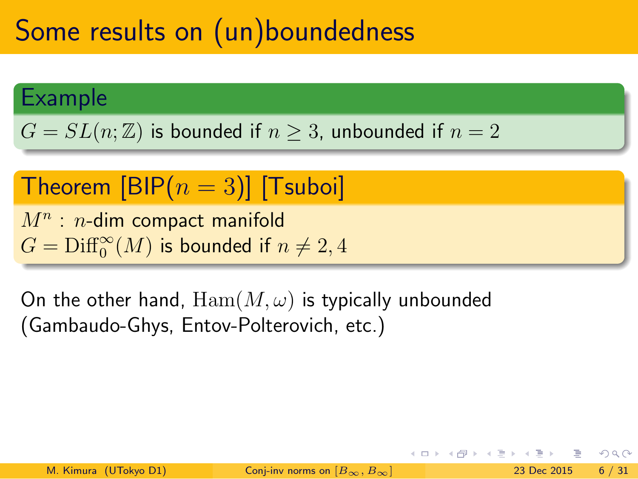### Some results on (un)boundedness

Example

 $G = SL(n; \mathbb{Z})$  is bounded if  $n \geq 3$ , unbounded if  $n = 2$ 

.. .  $\mathsf{Theorem}\;[\mathsf{BIP}(n=3)]$   $[\mathsf{Tsuboi}]$ 

> *M<sup>n</sup>* : *n*-dim compact manifold  $G = \mathrm{Diff}^\infty_0(M)$  is bounded if  $n \neq 2,4$

On the other hand,  $\text{Ham}(M,\omega)$  is typically unbounded (Gambaudo-Ghys, Entov-Polterovich, etc.)

.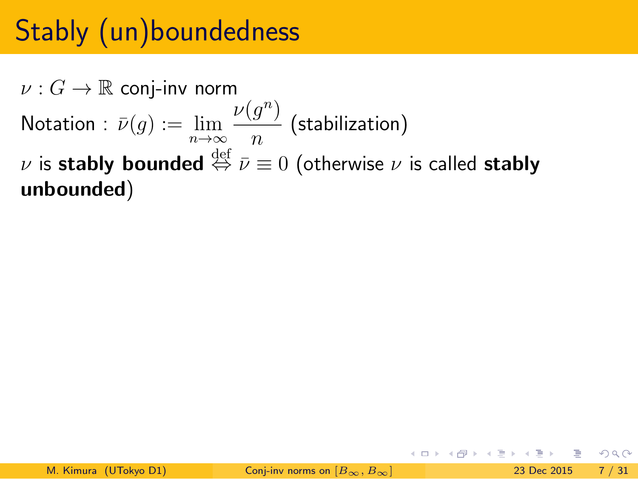# Stably (un)boundedness

 $\nu: G \to \mathbb{R}$  conj-inv norm  $\mathsf{Notation}: \, \bar{\nu}(g) := \lim\limits_{n \to \infty} \,$  $\nu(g^n)$ *n* (stabilization)  $\nu$  is  $\mathsf{stably}\ \mathsf{bounded}\ \stackrel{\text{def}}{\Leftrightarrow}\ \bar{\nu}\equiv 0$  (otherwise  $\nu$  is called  $\mathsf{stably}$ **unbounded**)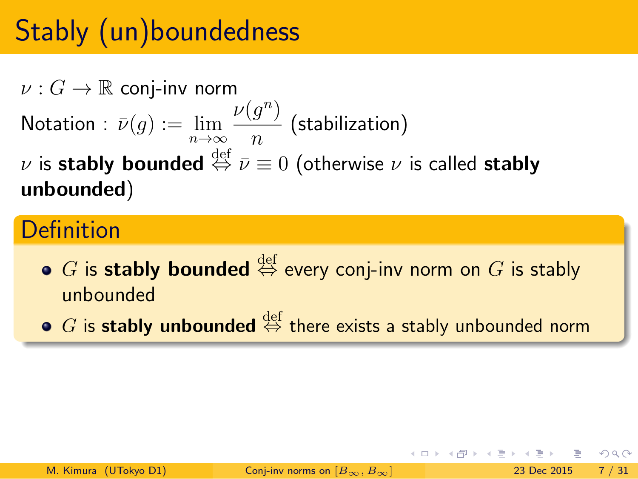### Stably (un)boundedness

 $\nu: G \to \mathbb{R}$  conj-inv norm  $\mathsf{Notation}: \, \bar{\nu}(g) := \lim\limits_{n \to \infty} \,$  $\nu(g^n)$ *n* (stabilization)  $\nu$  is  $\mathsf{stably}\ \mathsf{bounded}\ \stackrel{\text{def}}{\Leftrightarrow}\ \bar{\nu}\equiv 0$  (otherwise  $\nu$  is called  $\mathsf{stably}$ **unbounded**)

#### **Definition**

- $G$  is **stably bounded** ⇔ every conj-inv norm on  $G$  is stably unbounded
- $G$  is **stably unbounded**  $\stackrel{\text{def}}{\Leftrightarrow}$  there exists a stably unbounded norm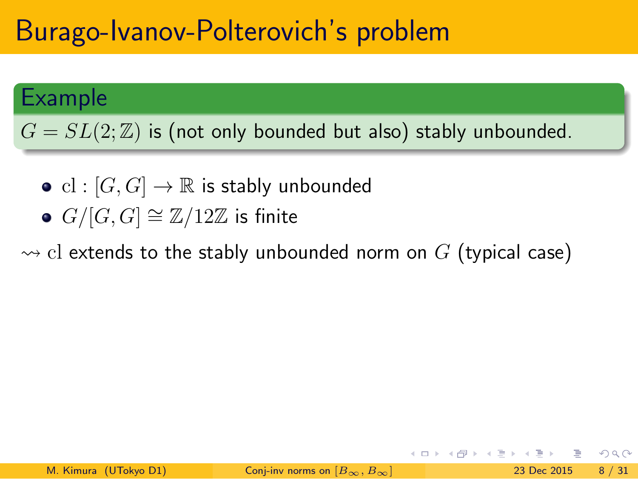## Burago-Ivanov-Polterovich's problem

#### Example

.  $G=SL(2;\mathbb{Z})$  is (not only bounded but also) stably unbounded.

- .. .  $\mathrm{cl} : [G,G] \rightarrow \mathbb{R}$  is stably unbounded
	- *G/*[*G, G*] *∼*= Z*/*12Z is finite

 $\rightsquigarrow$  cl extends to the stably unbounded norm on  $G$  (typical case)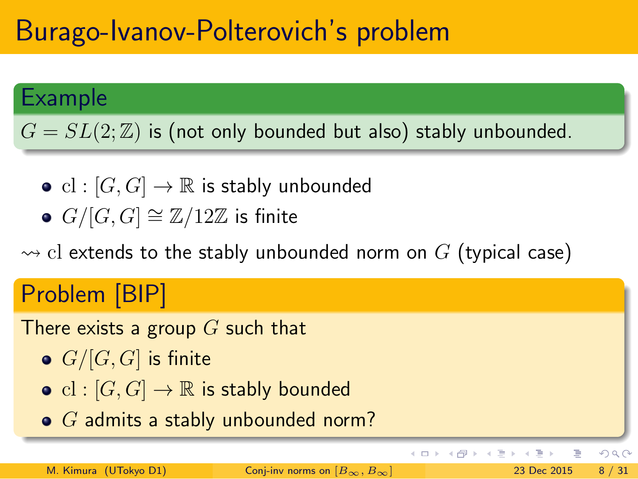### Burago-Ivanov-Polterovich's problem

#### Example

.  $G=SL(2;\mathbb{Z})$  is (not only bounded but also) stably unbounded.

- .. .  $\mathrm{cl} : [G,G] \rightarrow \mathbb{R}$  is stably unbounded
	- *G/*[*G, G*] *∼*= Z*/*12Z is finite

 $\rightsquigarrow$  cl extends to the stably unbounded norm on  $G$  (typical case)

#### Problem [BIP] There exists a group *G* such that *G/*[*G, G*] is finite •  $\text{cl}: [G, G] \to \mathbb{R}$  is stably bounded *G* admits a stably unbounded norm?  $2Q$ K ロ ⊁ K 倒 ≯ K ミ ⊁ K ミ ⊁ 高 M. Kimura (UTokyo D1) Conj-inv norms on  $[B_{\infty}, B_{\infty}]$  23 Dec 2015 8 / 31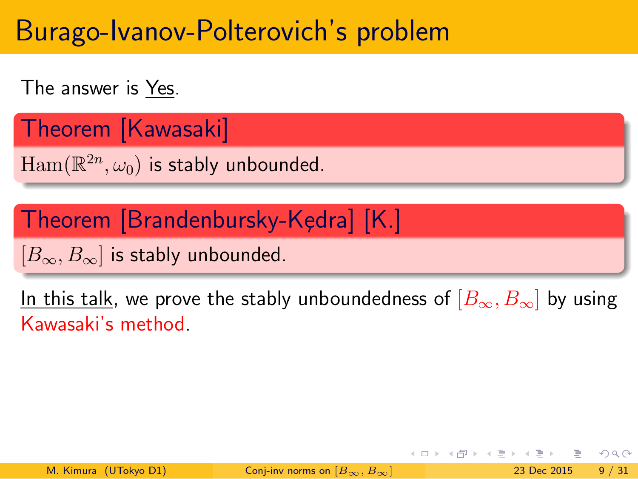### Burago-Ivanov-Polterovich's problem

The answer is  $Yes$ .</u>

Theorem [Kawasaki]

 $\text{Ham}(\mathbb{R}^{2n}, \omega_0)$  is stably unbounded.

<u>Theorem [Brandenbursky-Kędra] [K.]</u>

[*B∞, B∞*] is stably unbounded.

In this talk, we prove the stably unboundedness of  $[B_{\infty},B_{\infty}]$  by using Kawasaki's method.

.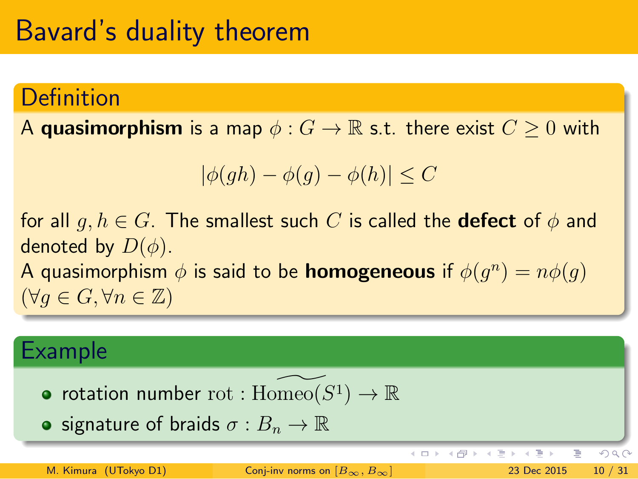### Bavard's duality theorem

#### **Definition**

A **quasimorphism** is a map  $\phi: G \to \mathbb{R}$  s.t. there exist  $C \geq 0$  with

$$
|\phi(gh) - \phi(g) - \phi(h)| \le C
$$

for all  $g, h \in G$ . The smallest such  $C$  is called the **defect** of  $\phi$  and denoted by  $D(\phi)$ .

A quasimorphism  $\phi$  is said to be **homogeneous** if  $\phi(g^n) = n\phi(g)$ (*∀g ∈ G, ∀n ∈* Z)

#### Example

- rotation number  $\text{rot} : \text{Homeo}(S^1) \to \mathbb{R}$
- **•** signature of braids  $\sigma : B_n \to \mathbb{R}$

 $\mathbf{A} \equiv \mathbf{B} + \mathbf{A} \oplus \mathbf{B} + \mathbf{A} \oplus \mathbf{B} + \mathbf{A} \oplus \mathbf{B}$ 唐 M. Kimura (UTokyo D1) Conj-inv norms on  $[B_{\infty}, B_{\infty}]$  23 Dec 2015 10 / 31

 $990$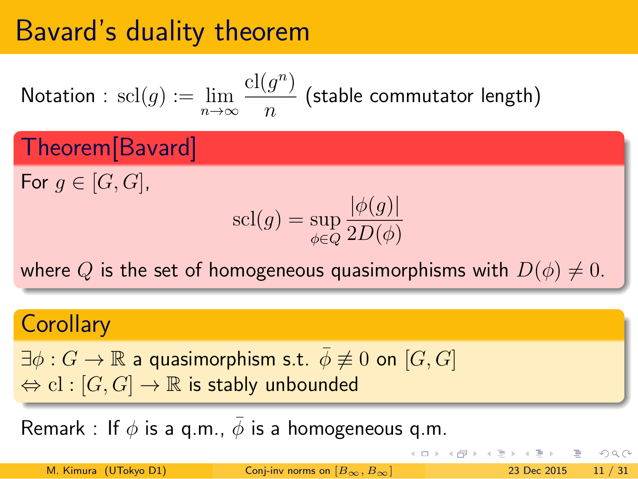# Bavard's duality theorem

Notation : 
$$
\text{scl}(g) := \lim_{n \to \infty} \frac{\text{cl}(g^n)}{n}
$$
 (stable commutator length)  
Theorem [Bavard]

For  $g \in [G, G]$ ,

$$
\mathrm{scl}(g) = \sup_{\phi \in Q} \frac{|\phi(g)|}{2D(\phi)}
$$

where *Q* is the set of homogeneous quasimorphisms with  $D(\phi) \neq 0$ .

.

#### **Corollary**

 $\exists \phi : G \to \mathbb{R}$  a quasimorphism s.t.  $\bar{\phi} \not\equiv 0$  on  $[G, G]$ *⇔* cl : [*G, G*] *→* R is stably unbounded

Remark : If  $\phi$  is a q.m.,  $\bar{\phi}$  is a homogeneous q.m.

| M. Kimura (UTokyo D1) | Conj-inv norms on $[B_{\infty}, B_{\infty}]$ | $\iff$ | $\iff$ | $\iff$ | $\iff$ | $\iff$ | $\iff$ | $\iff$ | $\iff$ | $\iff$ | $\iff$ | $\iff$ | $\iff$ | $\iff$ | $\iff$ | $\iff$ | $\iff$ | $\iff$ | $\iff$ | $\iff$ | $\iff$ | $\iff$ | $\iff$ | $\iff$ | $\iff$ | $\iff$ | $\iff$ | $\iff$ | $\iff$ | $\iff$ | $\iff$ | $\iff$ | $\iff$ | $\iff$ | $\iff$ | $\iff$ | $\iff$ | $\iff$ | $\iff$ | $\iff$ | $\iff$ | $\iff$ | $\iff$ | $\iff$ | $\iff$ | $\iff$ | $\iff$ | $\iff$ | $\iff$ | $\iff$ | $\iff$ | $\iff$ | $\iff$ | $\iff$ | $\iff$ | $\iff$ | $\iff$ | $\iff$ | $\iff$ | $\iff$ | $\iff$ | $\iff$ | $\iff$ | $\iff$ | $\iff$ | $\iff$ </th |
|-----------------------|----------------------------------------------|--------|--------|--------|--------|--------|--------|--------|--------|--------|--------|--------|--------|--------|--------|--------|--------|--------|--------|--------|--------|--------|--------|--------|--------|--------|--------|--------|--------|--------|--------|--------|--------|--------|--------|--------|--------|--------|--------|--------|--------|--------|--------|--------|--------|--------|--------|--------|--------|--------|--------|--------|--------|--------|--------|--------|--------|--------|--------|--------|--------|--------|--------|--------|--------|-------------|
|-----------------------|----------------------------------------------|--------|--------|--------|--------|--------|--------|--------|--------|--------|--------|--------|--------|--------|--------|--------|--------|--------|--------|--------|--------|--------|--------|--------|--------|--------|--------|--------|--------|--------|--------|--------|--------|--------|--------|--------|--------|--------|--------|--------|--------|--------|--------|--------|--------|--------|--------|--------|--------|--------|--------|--------|--------|--------|--------|--------|--------|--------|--------|--------|--------|--------|--------|--------|--------|-------------|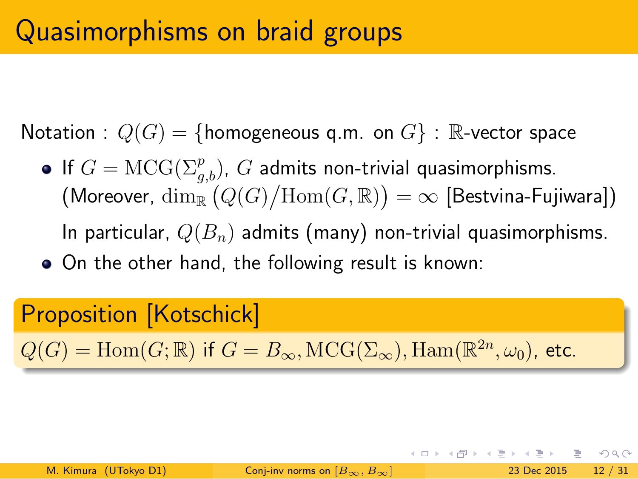Notation :  $Q(G) = \{homogeneous q.m. on G\}$  : R-vector space

- If  $G = \text{MCG}(\Sigma_{g,b}^p)$ ,  $G$  admits non-trivial quasimorphisms.  $\Gamma\left(\mathsf{Moreover}, \ \dim_\mathbb{R}\left(Q(G)/\mathrm{Hom}(G,\mathbb{R})\right)=\infty \ \mathrm{[Bestvina-Fujiwara]}\right)$ In particular, *Q*(*Bn*) admits (many) non-trivial quasimorphisms.
- On the other hand, the following result is known:

#### Proposition [Kotschick]

 $Q(G) = \text{Hom}(G; \mathbb{R})$  if  $G = B_{\infty}, \text{MCG}(\Sigma_{\infty}), \text{Ham}(\mathbb{R}^{2n}, \omega_0)$ , etc.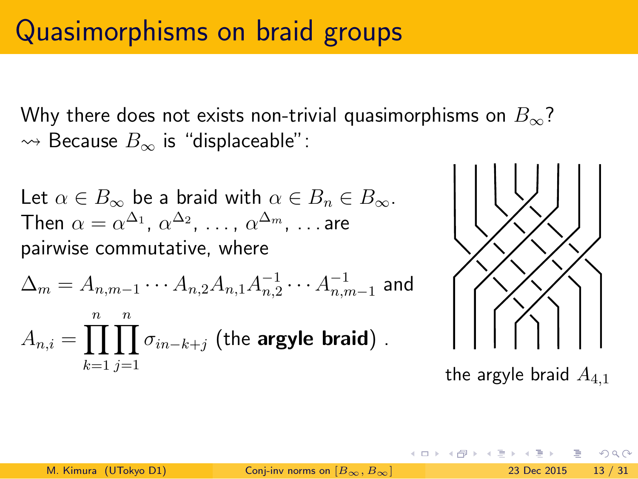Why there does not exists non-trivial quasimorphisms on *B∞*? ⇝ Because *B<sup>∞</sup>* is "displaceable":

Let  $\alpha \in B_{\infty}$  be a braid with  $\alpha \in B_n \in B_{\infty}$ . Then  $\alpha=\alpha^{\Delta_1}$ ,  $\alpha^{\Delta_2}$ , ...,  $\alpha^{\Delta_m}$ , ...are pairwise commutative, where

$$
\Delta_m = A_{n,m-1} \cdots A_{n,2} A_{n,1} A_{n,2}^{-1} \cdots A_{n,m-1}^{-1}
$$
 and  

$$
A_{n,i} = \prod_{k=1}^n \prod_{j=1}^n \sigma_{in-k+j}
$$
 (the **argyle braid**) .



the argyle braid *A*4*,*<sup>1</sup>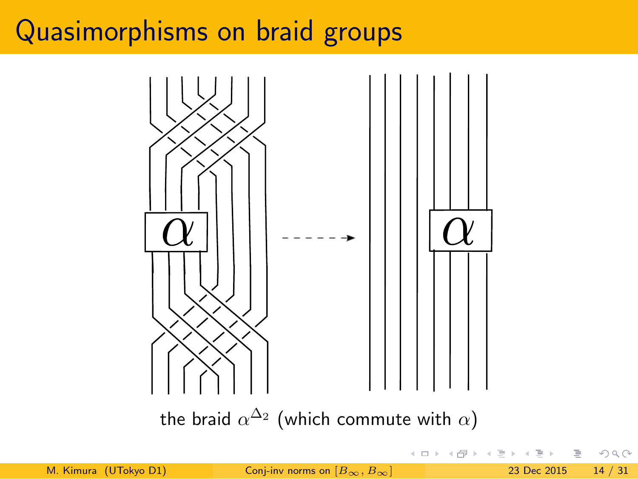

the braid  $\alpha^{\Delta_2}$  (which commute with  $\alpha)$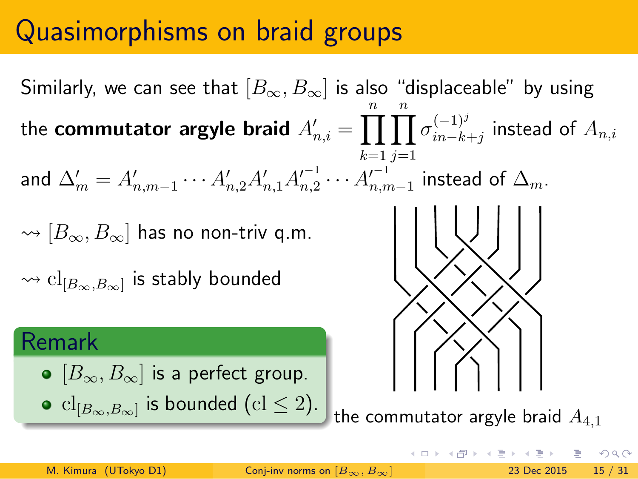Similarly, we can see that  $[B_{\infty}, B_{\infty}]$  is also "displaceable" by using the **commutator argyle braid**  $A'_{n,i} = \prod^n_i$ *k*=1 ∏*n j*=1  $\sigma_{in-k}^{(-1)^j}$ *in−k*+*j* instead of *An,i* and  $\Delta'_{m} = A'_{n,m-1} \cdots A'_{n,2} A'_{n,1} A'^{-1}_{n,2} \cdots A'^{-1}_{n,m-1}$  instead of  $\Delta_{m}$ . ⇝ [*B∞, B∞*] has no non-triv q.m.  $\rightsquigarrow$   $\operatorname{cl}_{[B_\infty,B_\infty]}$  is stably bounded Remark [*B∞, B∞*] is a perfect group. •  $\text{cl}_{[B_{\infty},B_{\infty}]}$  is bounded (cl  $\leq 2$ ). the commutator argyle braid  $A_{4,1}$ 

 $\equiv$  990

 $\mathbf{A} \oplus \mathbf{B}$  and  $\mathbf{A} \oplus \mathbf{B}$ 

비둘 비

M. Kimura (UTokyo D1) Conj-inv norms on  $[B_{\infty}, B_{\infty}]$  23 Dec 2015 15 / 31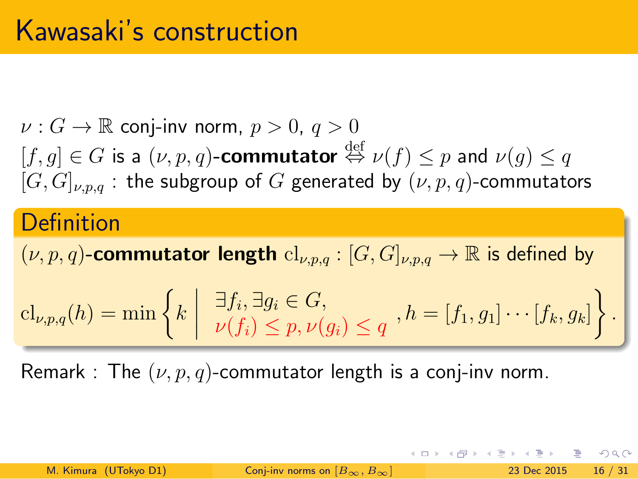### Kawasaki's construction

 $\nu: G \to \mathbb{R}$  conj-inv norm,  $p > 0, \, q > 0$  $[f,g] \in G$  is a  $(\nu,p,q)$ -commutator  $\stackrel{\text{def}}{\Leftrightarrow} \nu(f) \leq p$  and  $\nu(g) \leq q$  $[G, G]_{\nu,p,q}$ : the subgroup of *G* generated by  $(\nu, p, q)$ -commutators

#### **Definition**

 $(\nu, p, q)$ -commutator length  $\mathrm{cl}_{\nu, p, q}: [G, G]_{\nu, p, q} \to \mathbb{R}$  is defined by

$$
\mathrm{cl}_{\nu,p,q}(h) = \min \left\{ k \mid \frac{\exists f_i, \exists g_i \in G,}{\nu(f_i) \le p, \nu(g_i) \le q}, h = [f_1, g_1] \cdots [f_k, g_k] \right\}.
$$

Remark : The  $(\nu, p, q)$ -commutator length is a conj-inv norm.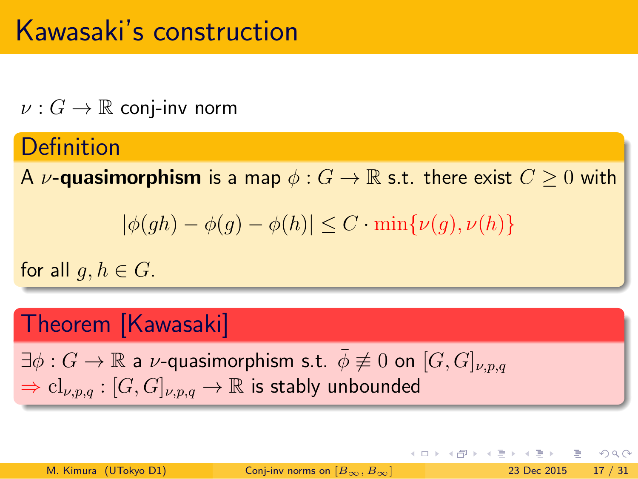### Kawasaki's construction

 $\nu: G \to \mathbb{R}$  conj-inv norm

#### **Definition**

A *v***-quasimorphism** is a map  $\phi$  :  $G \to \mathbb{R}$  s.t. there exist  $C \geq 0$  with

$$
|\phi(gh) - \phi(g) - \phi(h)| \le C \cdot \min\{\nu(g), \nu(h)\}\
$$

.

for all  $g, h \in G$ .

#### Theorem [Kawasaki]

 $\exists \phi : G \rightarrow \mathbb{R}$  a *v*-quasimorphism s.t.  $\bar{\phi} \not\equiv 0$  on  $[G, G]_{\nu, p, q}$  $\Rightarrow$   $\text{cl}_{\nu,p,q} : [G,G]_{\nu,p,q} \rightarrow \mathbb{R}$  is stably unbounded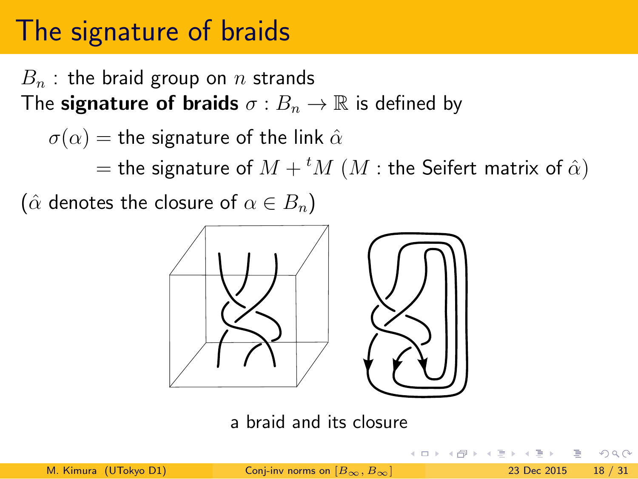*B<sup>n</sup>* : the braid group on *n* strands The **signature of braids**  $\sigma : B_n \to \mathbb{R}$  is defined by

 $\sigma(\alpha)$  = the signature of the link  $\hat{\alpha}$ 

 $=$  the signature of  $M + {}^t M$   $(M :$  the Seifert matrix of  $\hat{\alpha})$ 

 $(\hat{\alpha}$  denotes the closure of  $\alpha \in B_n$ )



a braid and its closure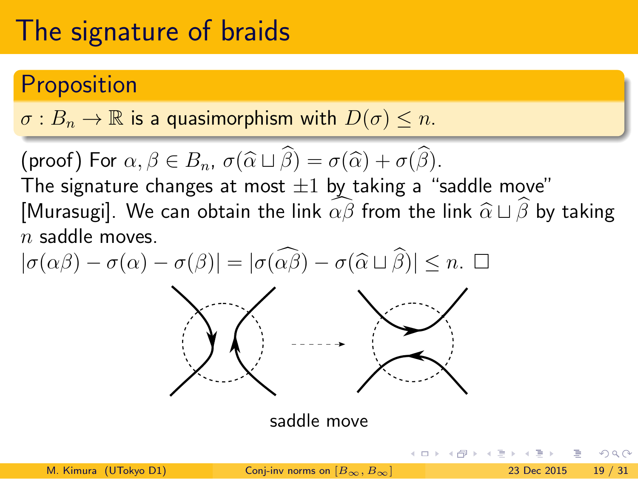#### Proposition

 $\sigma: B_n \to \mathbb{R}$  is a quasimorphism with  $D(\sigma) \leq n$ .

.. . (proof) For  $\alpha, \beta \in B_n$ ,  $\sigma(\widehat{\alpha} \sqcup \beta) = \sigma(\widehat{\alpha}) + \sigma(\beta)$ . The signature changes at most *±*1 by taking a "saddle move"

[Murasugi]. We can obtain the link  $\widehat{\alpha\beta}$  from the link  $\widehat{\alpha} \sqcup \widehat{\beta}$  by taking *n* saddle moves.



saddle move

|                       |                                              | - 《 ロ 》 《 何 》 《 三 》 《 三 》 - 三   ◇ 9,40 |  |
|-----------------------|----------------------------------------------|----------------------------------------|--|
| M. Kimura (UTokyo D1) | Conj-inv norms on $[B_{\infty}, B_{\infty}]$ | 23 Dec 2015 19 / 31                    |  |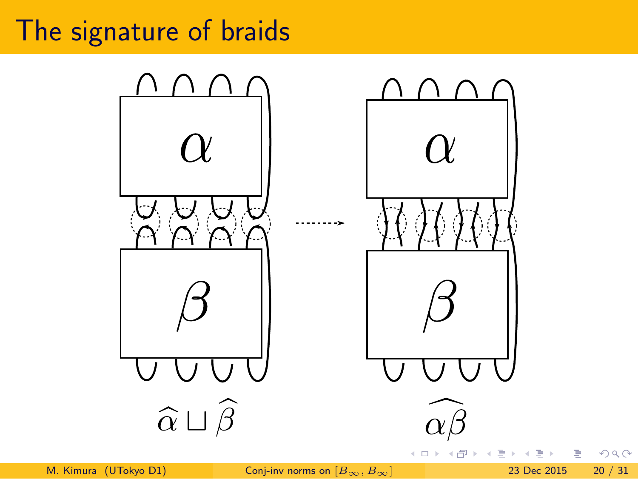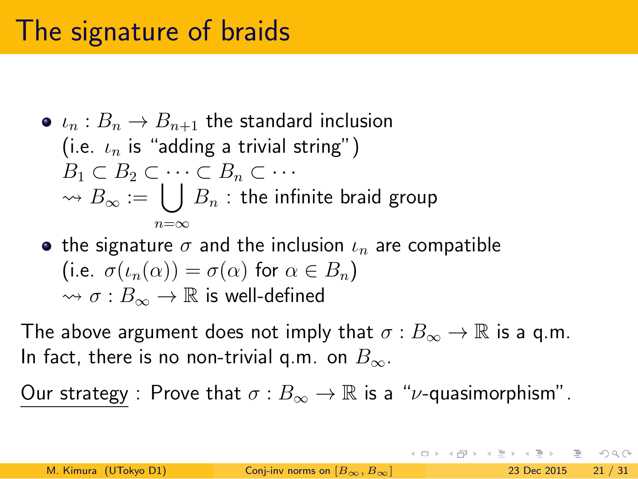- $\iota_n : B_n \to B_{n+1}$  the standard inclusion (i.e. *ι<sup>n</sup>* is "adding a trivial string")  $B_1 \subset B_2 \subset \cdots \subset B_n \subset \cdots$  $\rightarrow$  *B*<sub>∞</sub> := ∪ *n*=*∞*  $\, B_n \,$  : the infinite braid group
- the signature  $\sigma$  and the inclusion  $\iota_n$  are compatible (i.e.  $\sigma(\iota_n(\alpha)) = \sigma(\alpha)$  for  $\alpha \in B_n$ )  $\leadsto \sigma : B_\infty \to \mathbb{R}$  is well-defined

The above argument does not imply that  $\sigma : B_{\infty} \to \mathbb{R}$  is a q.m. In fact, there is no non-trivial q.m. on *B∞*.

Our strategy : Prove that  $\sigma : B_{\infty} \to \mathbb{R}$  is a " $\nu$ -quasimorphism".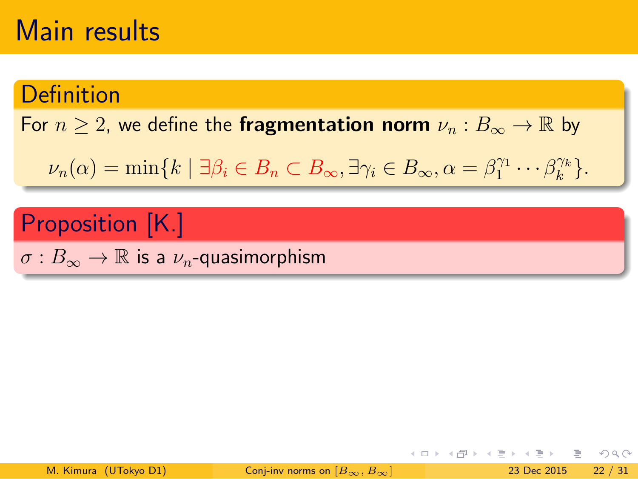#### **Definition**

For  $n \geq 2$ , we define the **fragmentation norm**  $\nu_n : B_{\infty} \to \mathbb{R}$  by

 $\nu_n(\alpha) = \min\{k \mid \exists \beta_i \in B_n \subset B_\infty, \exists \gamma_i \in B_\infty, \alpha = \beta_1^{\gamma_1} \cdots \beta_k^{\gamma_k}\}$  $\binom{\gamma_k}{k}$ .

### Proposition [K.]

.. .  $\sigma:B_{\infty}\to\mathbb{R}$  is a  $\nu_n$ -quasimorphism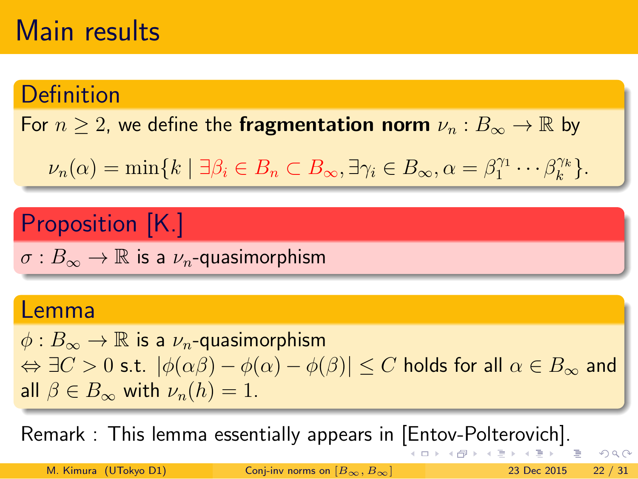#### **Definition**

For  $n \geq 2$ , we define the **fragmentation norm**  $\nu_n : B_{\infty} \to \mathbb{R}$  by

 $\nu_n(\alpha) = \min\{k \mid \exists \beta_i \in B_n \subset B_\infty, \exists \gamma_i \in B_\infty, \alpha = \beta_1^{\gamma_1} \cdots \beta_k^{\gamma_k}\}$  $\binom{\gamma_k}{k}$ .

#### Proposition [K.]

.. .  $\sigma:B_{\infty}\to\mathbb{R}$  is a  $\nu_n$ -quasimorphism

#### Lemma

. *⇔ ∃C >* 0 s.t. *|ϕ*(*αβ*) *− ϕ*(*α*) *− ϕ*(*β*)*| ≤ C* holds for all *α ∈ B<sup>∞</sup>* and  $\phi$  :  $B_{\infty}$  → ℝ is a  $\nu_n$ -quasimorphism all  $\beta \in B_{\infty}$  with  $\nu_n(h) = 1$ .

.. . Remark : This lemma essentially appears in [Entov-Polterovich].

M. Kimura (UTokyo D1) Conj-inv norms on [*B∞, B∞*] 23 Dec 2015 22 / 31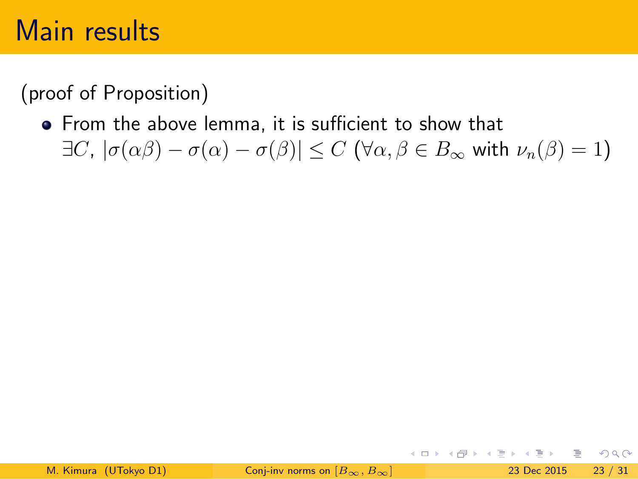(proof of Proposition)

From the above lemma, it is sufficient to show that  $\exists$ *C*,  $|σ(αβ) − σ(α) − σ(β)| ≤ C$  (∀α,  $β ∈ B<sub>∞</sub>$  with  $ν<sub>n</sub>(β) = 1$ )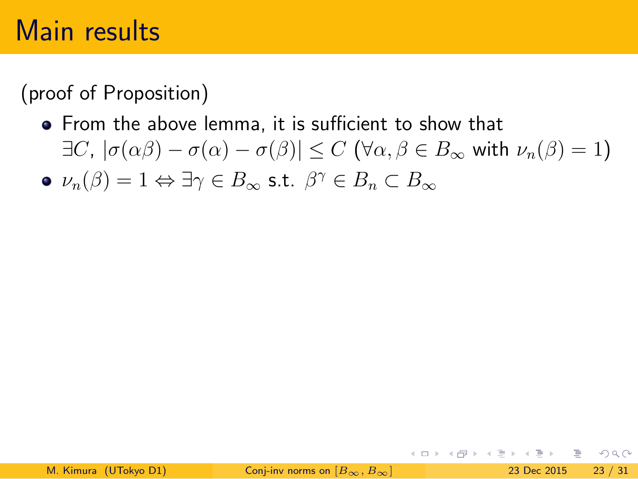(proof of Proposition)

- From the above lemma, it is sufficient to show that  $\exists$ *C*,  $|\sigma(\alpha\beta) - \sigma(\alpha) - \sigma(\beta)|$  ≤ *C* (∀α,  $\beta \in B_{\infty}$  with  $\nu_n(\beta) = 1$ )
- *ν*<sub>*n*</sub>( $\beta$ ) = 1  $\Leftrightarrow$  ∃γ  $\in$  *B*<sub>∞</sub> s.t.  $\beta$ <sup>γ</sup>  $\in$  *B<sub>n</sub>*  $\subset$  *B*<sub>∞</sub>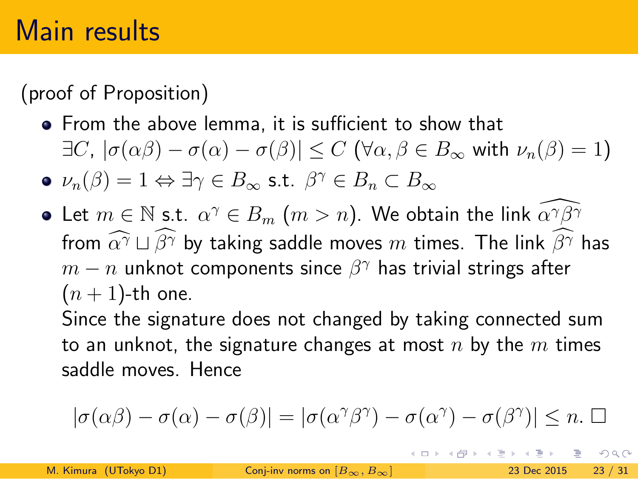(proof of Proposition)

- From the above lemma, it is sufficient to show that  $\exists C, |\sigma(\alpha\beta) - \sigma(\alpha) - \sigma(\beta)| \le C$  ( $\forall \alpha, \beta \in B_\infty$  with  $\nu_n(\beta) = 1$ )
- *ν*<sub>*n*</sub>( $\beta$ ) = 1  $\Leftrightarrow$  ∃γ  $\in$  *B*<sub>∞</sub> s.t.  $\beta$ <sup>γ</sup>  $\in$  *B<sub>n</sub>*  $\subset$  *B*<sub>∞</sub>
- Let  $m \in \mathbb{N}$  s.t.  $\alpha^\gamma \in B_m$   $(m > n).$  We obtain the link  $\widetilde{\alpha^\gamma \beta^\gamma}$ from  $\widehat{\alpha}^{\gamma} \sqcup \widehat{\beta}^{\gamma}$  by taking saddle moves *m* times. The link  $\widehat{\beta}^{\gamma}$  has  $m-n$  unknot components since  $\beta^\gamma$  has trivial strings after  $(n + 1)$ -th one.

Since the signature does not changed by taking connected sum to an unknot, the signature changes at most *n* by the *m* times saddle moves. Hence

$$
|\sigma(\alpha\beta)-\sigma(\alpha)-\sigma(\beta)|=|\sigma(\alpha^\gamma\beta^\gamma)-\sigma(\alpha^\gamma)-\sigma(\beta^\gamma)|\leq n.\ \Box
$$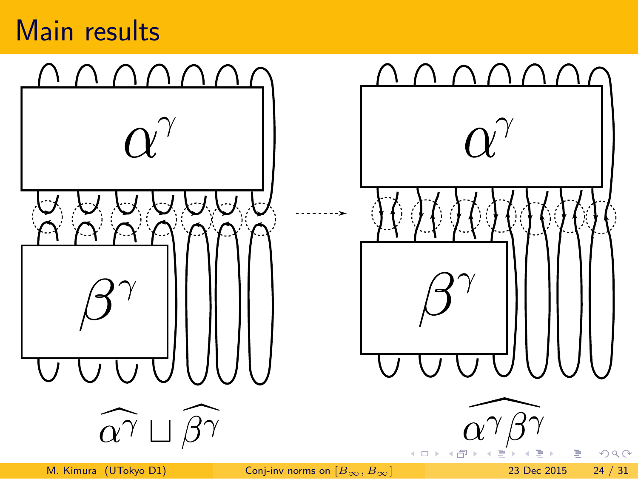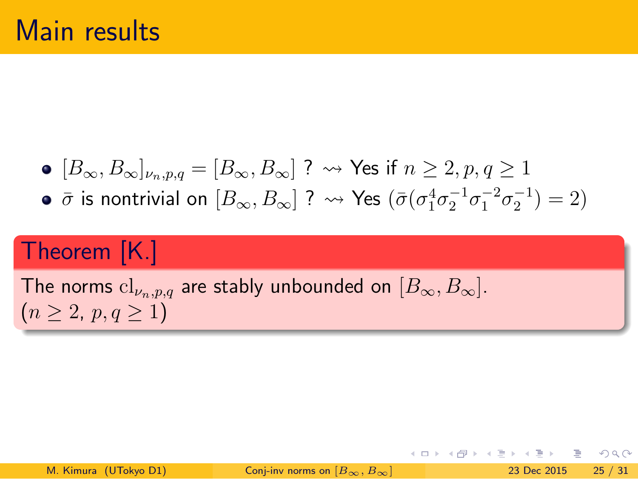- $[B_{\infty}, B_{\infty}]_{\nu_n, p, q} = [B_{\infty}, B_{\infty}]$  ?  $\rightsquigarrow$  Yes if  $n \geq 2, p, q \geq 1$
- $\bar{\sigma}$  is nontrivial on  $[B_{\infty}, B_{\infty}]$  ?  $\leadsto$  Yes  $(\bar{\sigma}(\sigma_1^4 \sigma_2^{-1} \sigma_1^{-2} \sigma_2^{-1}) = 2)$

Theorem [K.]

The norms  $\text{cl}_{\nu_n,p,q}$  are stably unbounded on  $[B_\infty, B_\infty].$  $(n \geq 2, p, q \geq 1)$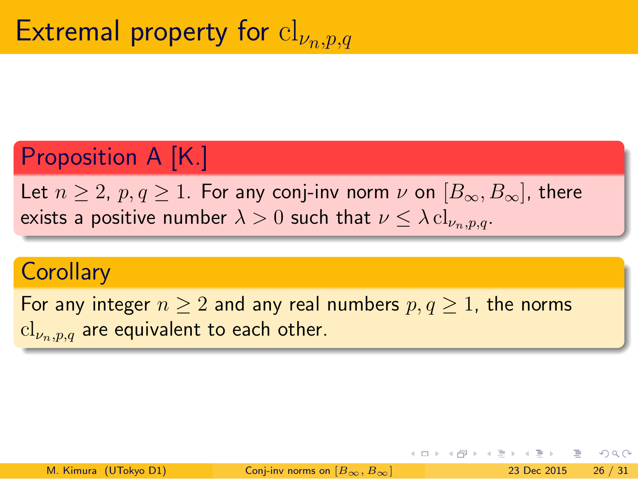# Extremal property for cl*<sup>ν</sup>n,p,q*

Proposition A [K.]

Let  $n \geq 2$ ,  $p, q \geq 1$ . For any conj-inv norm  $\nu$  on  $[B_{\infty}, B_{\infty}]$ , there exists a positive number  $\lambda > 0$  such that  $\nu \leq \lambda \, \mathrm{cl}_{\nu_n, p, q}$ .

#### **Corollary**

 $\text{cl}_{\nu_n, p, q}$  are equivalent to each other. For any integer  $n \geq 2$  and any real numbers  $p, q \geq 1$ , the norms

.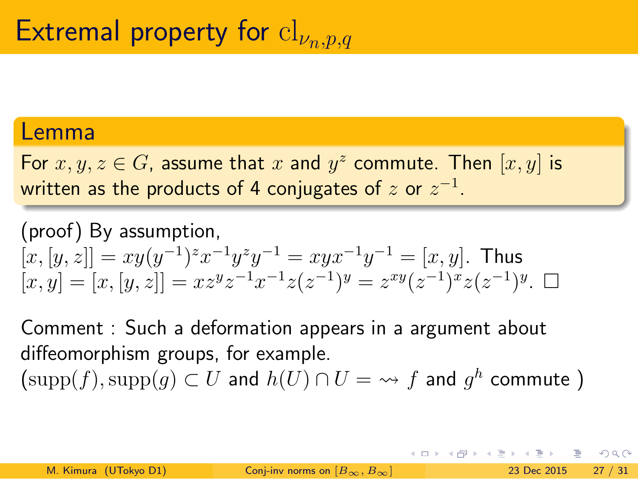# Extremal property for cl*<sup>ν</sup>n,p,q*

#### Lemma

. For  $x, y, z \in G$ , assume that  $x$  and  $y^z$  commute. Then  $[x, y]$  is written as the products of 4 conjugates of *z* or *z −*1 .

(proof) By assumption,

 $[x, y] = [x, [y, z]] = xz^yz^{-1}x^{-1}z(z^{-1})^y = z^{xy}(z^{-1})^x z(z^{-1})$  $[x, [y, z]] = xy(y^{-1})^z x^{-1} y^z y^{-1} = xyx^{-1}y^{-1} = [x, y]$ . Thus  $[x, y] = [x, [y, z]] = xz^y z^{-1} x^{-1} z(z^{-1})^y = z^{xy} (z^{-1})^x z(z^{-1})^y$ .  $\Box$ 

> Comment : Such a deformation appears in a argument about diffeomorphism groups, for example.

 $\big(\mathrm{supp}(f),\mathrm{supp}(g)\subset U$  and  $h(U)\cap U=\rightsquigarrow f$  and  $g^h$  commute  $)$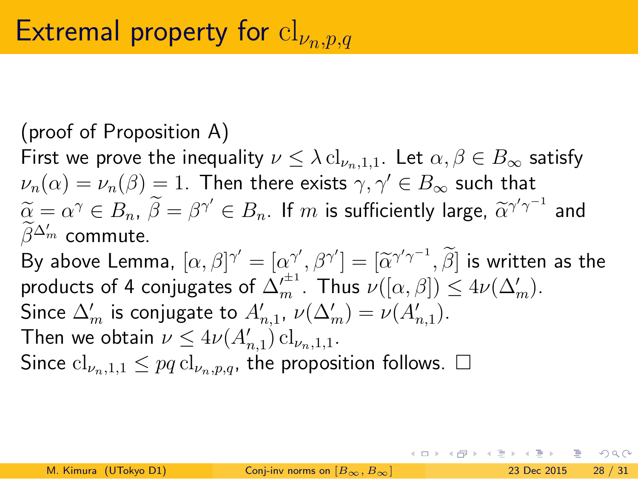### Extremal property for cl*<sup>ν</sup>n,p,q*

(proof of Proposition A) First we prove the inequality  $\nu \leq \lambda \operatorname{cl}_{\nu_n,1,1}$ . Let  $\alpha, \beta \in B_{\infty}$  satisfy  $\nu_n(\alpha) = \nu_n(\beta) = 1.$  Then there exists  $\gamma, \gamma' \in B_\infty$  such that  $\widetilde{\alpha} = \alpha^{\gamma} \in B_n$ ,  $\widetilde{\beta} = \beta^{\gamma'} \in B_n$ . If  $m$  is sufficiently large,  $\widetilde{\alpha}^{\gamma' \gamma^{-1}}$  and  $\widetilde{\beta}^{\Delta'_{m}}$  commute. By above Lemma,  $[\alpha, \beta]^{\gamma'} = [\alpha^{\gamma'}, \beta^{\gamma'}] = [\widetilde{\alpha}^{\gamma'\gamma^{-1}}, \widetilde{\beta}]$  is written as the products of 4 conjugates of  $\Delta'^{\pm 1}_m$ . Thus  $\nu([\alpha, \beta]) \leq 4\nu(\Delta'_m)$ . Since  $\Delta'_{m}$  is conjugate to  $A'_{n,1}$ ,  $\nu(\Delta'_{m}) = \nu(A'_{n,1})$ . Then we obtain  $\nu \leq 4\nu(A'_{n,1}) \operatorname{cl}_{\nu_n,1,1}.$ Since  $cl_{\nu_n,1,1} \leq pq \, cl_{\nu_n,p,q}$ , the proposition follows.  $\Box$ 

イロト イ団ト イミト イヨト

 $E = 990$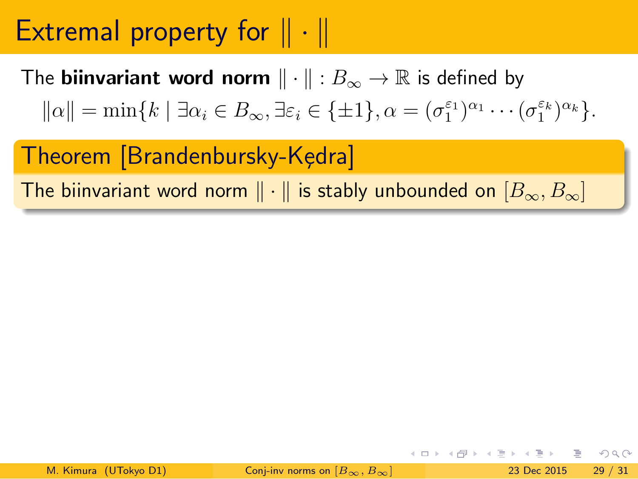# Extremal property for *∥ · ∥*

The **biinvariant word norm** *∥ · ∥* : *B<sup>∞</sup> →* R is defined by

 $||\alpha|| = \min\{k \mid \exists \alpha_i \in B_\infty, \exists \varepsilon_i \in \{\pm 1\}, \alpha = (\sigma_1^{\varepsilon_1})^{\alpha_1} \cdots (\sigma_1^{\varepsilon_k})^{\alpha_k}\}.$ 

Theorem [Brandenbursky-Kędra]

The biinvariant word norm *∥ · ∥* is stably unbounded on [*B∞, B∞*]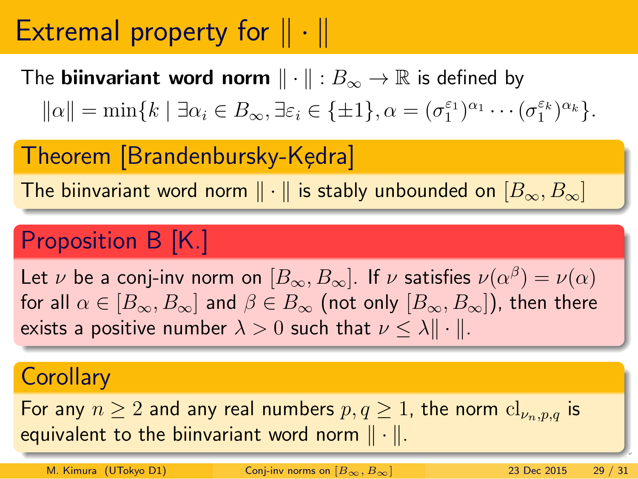### Extremal property for *∥ · ∥*

The **biinvariant word norm** *∥ · ∥* : *B<sup>∞</sup> →* R is defined by

 $||\alpha|| = \min\{k \mid \exists \alpha_i \in B_\infty, \exists \varepsilon_i \in \{\pm 1\}, \alpha = (\sigma_1^{\varepsilon_1})^{\alpha_1} \cdots (\sigma_1^{\varepsilon_k})^{\alpha_k}\}.$ 

Theorem [Brandenbursky-Kędra]

The biinvariant word norm *∥ · ∥* is stably unbounded on [*B∞, B∞*]

#### Proposition B [K.]

Let *ν* be a conj-inv norm on  $[B_{\infty}, B_{\infty}]$ . If *ν* satisfies  $\nu(\alpha^{\beta}) = \nu(\alpha)$ for all  $\alpha \in [B_{\infty}, B_{\infty}]$  and  $\beta \in B_{\infty}$  (not only  $[B_{\infty}, B_{\infty}]$ ), then there exists a positive number  $\lambda > 0$  such that  $\nu \leq \lambda \|\cdot\|$ .

#### **Corollary**

For any  $n \geq 2$  and any real numbers  $p, q \geq 1$ , the norm  $\text{cl}_{\nu_n, p, q}$  is equivalent to the biinvariant word norm *∥ · ∥*.

.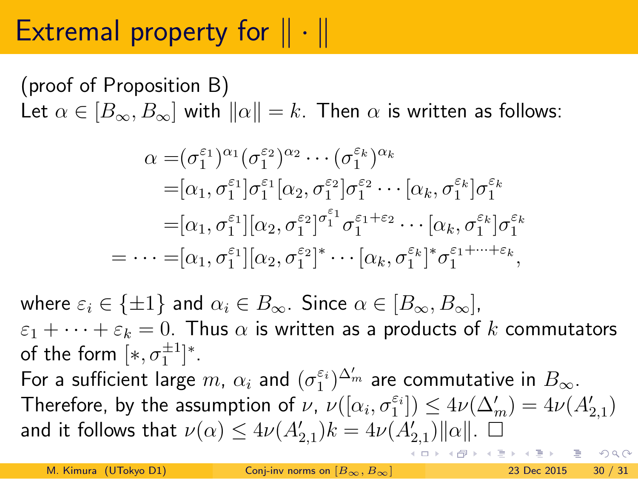# Extremal property for *∥ · ∥*

#### (proof of Proposition B)

Let  $\alpha \in [B_{\infty}, B_{\infty}]$  with  $||\alpha|| = k$ . Then  $\alpha$  is written as follows:

$$
\alpha = (\sigma_1^{\varepsilon_1})^{\alpha_1} (\sigma_1^{\varepsilon_2})^{\alpha_2} \cdots (\sigma_1^{\varepsilon_k})^{\alpha_k}
$$
  
\n
$$
= [\alpha_1, \sigma_1^{\varepsilon_1}] \sigma_1^{\varepsilon_1} [\alpha_2, \sigma_1^{\varepsilon_2}] \sigma_1^{\varepsilon_2} \cdots [\alpha_k, \sigma_1^{\varepsilon_k}] \sigma_1^{\varepsilon_k}
$$
  
\n
$$
= [\alpha_1, \sigma_1^{\varepsilon_1}] [\alpha_2, \sigma_1^{\varepsilon_2}]^{\sigma_1^{\varepsilon_1}} \sigma_1^{\varepsilon_1 + \varepsilon_2} \cdots [\alpha_k, \sigma_1^{\varepsilon_k}] \sigma_1^{\varepsilon_k}
$$
  
\n
$$
= \cdots = [\alpha_1, \sigma_1^{\varepsilon_1}] [\alpha_2, \sigma_1^{\varepsilon_2}]^* \cdots [\alpha_k, \sigma_1^{\varepsilon_k}]^* \sigma_1^{\varepsilon_1 + \cdots + \varepsilon_k},
$$

where  $\varepsilon_i \in {\pm 1}$  and  $\alpha_i \in B_\infty$ . Since  $\alpha \in [B_\infty, B_\infty]$ ,  $\varepsilon_1 + \cdots + \varepsilon_k = 0$ . Thus  $\alpha$  is written as a products of  $k$  commutators of the form  $[*, \sigma_1^{\pm 1}]^*.$ 

For a sufficient large  $m$ ,  $\alpha_i$  and  $(\sigma_1^{\varepsilon_i})^{\Delta'_m}$  are commutative in  $B_{\infty}$ . Therefore, by the assumption of  $\nu$ ,  $\nu([{\alpha}_i, {\sigma}_1^{\varepsilon_i}]) \leq 4\nu({\Delta'_m}) = 4\nu(A'_{2,1})$ and it follows that  $\nu(\alpha) \leq 4\nu(A'_{2,1})k = 4\nu(A'_{2,1})\Vert \alpha \Vert.$   $\Box$